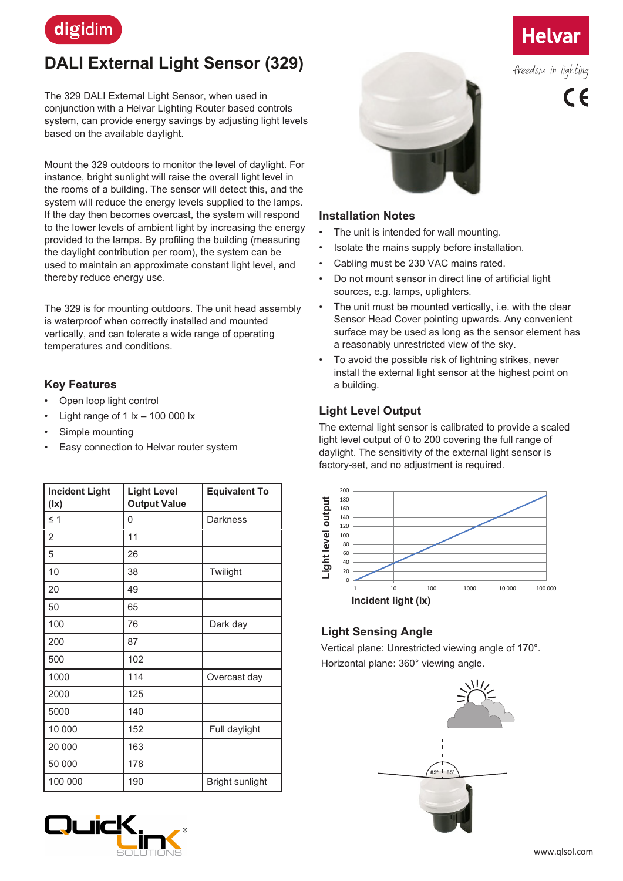

# **DALI External Light Sensor (329)**

The 329 DALI External Light Sensor, when used in conjunction with a Helvar Lighting Router based controls system, can provide energy savings by adjusting light levels based on the available daylight.

Mount the 329 outdoors to monitor the level of daylight. For instance, bright sunlight will raise the overall light level in the rooms of a building. The sensor will detect this, and the system will reduce the energy levels supplied to the lamps. If the day then becomes overcast, the system will respond to the lower levels of ambient light by increasing the energy provided to the lamps. By profiling the building (measuring the daylight contribution per room), the system can be used to maintain an approximate constant light level, and thereby reduce energy use.

The 329 is for mounting outdoors. The unit head assembly is waterproof when correctly installed and mounted vertically, and can tolerate a wide range of operating temperatures and conditions.

#### **Key Features**

- Open loop light control
- Light range of 1  $x 100000$  lx
- Simple mounting
- Easy connection to Helvar router system

| <b>Incident Light</b><br>(1x) | <b>Light Level</b><br><b>Output Value</b> | <b>Equivalent To</b> |
|-------------------------------|-------------------------------------------|----------------------|
| $\leq$ 1                      | 0                                         | Darkness             |
| 2                             | 11                                        |                      |
| 5                             | 26                                        |                      |
| 10                            | 38                                        | Twilight             |
| 20                            | 49                                        |                      |
| 50                            | 65                                        |                      |
| 100                           | 76                                        | Dark day             |
| 200                           | 87                                        |                      |
| 500                           | 102                                       |                      |
| 1000                          | 114                                       | Overcast day         |
| 2000                          | 125                                       |                      |
| 5000                          | 140                                       |                      |
| 10 000                        | 152                                       | Full daylight        |
| 20 000                        | 163                                       |                      |
| 50 000                        | 178                                       |                      |
| 100 000                       | 190                                       | Bright sunlight      |



#### **Installation Notes**

- The unit is intended for wall mounting.
- Isolate the mains supply before installation.
- Cabling must be 230 VAC mains rated.
- Do not mount sensor in direct line of artificial light sources, e.g. lamps, uplighters.
- The unit must be mounted vertically, i.e. with the clear Sensor Head Cover pointing upwards. Any convenient surface may be used as long as the sensor element has a reasonably unrestricted view of the sky.
- To avoid the possible risk of lightning strikes, never install the external light sensor at the highest point on a building.

## **Light Level Output**

The external light sensor is calibrated to provide a scaled light level output of 0 to 200 covering the full range of daylight. The sensitivity of the external light sensor is factory-set, and no adjustment is required.



## **Light Sensing Angle**

Vertical plane: Unrestricted viewing angle of 170°. Horizontal plane: 360° viewing angle.







freedom in lighting